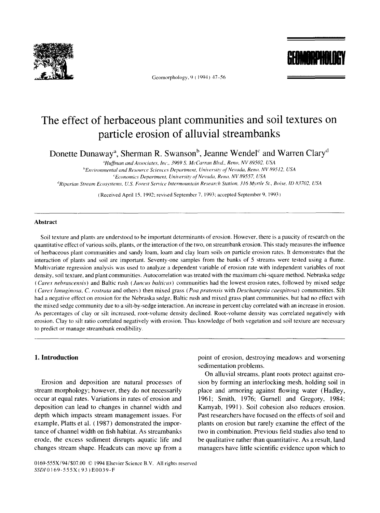

Geomorphology, 9 (1994) 47-56

**ATAMARPHI** 

# **The effect of herbaceous plant communities and soil textures on particle erosion of alluvial streambanks**

Donette Dunaway<sup>a</sup>, Sherman R. Swanson<sup>b</sup>, Jeanne Wendel<sup>c</sup> and Warren Clary<sup>d</sup>

*~Huffman and Associates. Inc,, 3969 S. McCarran Blvd., Reno, NV 89502, USA* 

*hEm'itwnmental and Resource Sciences Department, University of'Nevada, Reno, NV 89512, USA ~Economics Department. University qf Nevada, Reno, NV 89557, USA dRiparian Stream Ecosystems. U.S. Forest Service Intermountain Research Station. 316 Myrtle St., Boise. ID 83702, USA* 

(Received April 15, 1992; revised September 7. 1993; accepted September 9, 1993)

#### **Abstract**

Soil texture and plants are understood to be important determinants of erosion. However. there is a paucity of research on the quantitative effect of various soils, plants, or the interaction of the two, on streambank erosion. This study measures the influence of herbaceous plant communities and sandy loam, loam and clay loam soils on particle erosion rates. It demonstrates that the interaction of plants and soil are important. Seventy-one samples from the banks of 5 streams were tested using a flume. Multivariate regression analysis was used to analyze a dependent variable of erosion rate with independent variables of root density, soil texture, and plant communities. Autocorrelation was treated with the maximum chi-square method. Nebraska sedge *(Carex nebrascensis)* and Baltic rush *(Juncus balticus)* communities had the lowest erosion rates, followed by mixed sedge *( Carex lanuginosa, C. rostrata* and others) then mixed grass ( *Poa pratensis* with *Deschampsia caespitosa)* communities. Silt had a negative effect on erosion for the Nebraska sedge, Baltic rush and mixed grass plant communities, but had no effect with the mixed sedge community due to a silt-by-sedge interaction. An increase in percent clay correlated with an increase in erosion. As percentages of clay or silt increased, root-volume density declined. Root-volume density was correlated negatively with erosion. Clay to silt ratio correlated negatively with erosion. Thus knowledge of both vegetation and soil texture are necessary to predict or manage streambank erodibility.

## **1. Introduction**

Erosion and deposition are natural processes of stream morphology; however, they do not necessarily occur at equal rates. Variations in rates of erosion and deposition can lead to changes in channel width and depth which impacts stream management issues, For example, Platts et al. (1987) demonstrated the importance of channel width on fish habitat. As streambanks erode, the excess sediment disrupts aquatic life and changes stream shape. Headcuts can move up from a point of erosion, destroying meadows and worsening sedimentation problems.

On alluvial streams, plant roots protect against erosion by forming an interlocking mesh, holding soil in place and armoring against flowing water (Hadley, 1961; Smith, 1976; Gurnell and Gregory, 1984; Kamyab, 1991). Soil cohesion also reduces erosion. Past researchers have focused on the effects of soil and plants on erosion but rarely examine the effect of the two in combination. Previous field studies also tend to be qualitative rather than quantitative. As a result, land managers have little scientific evidence upon which to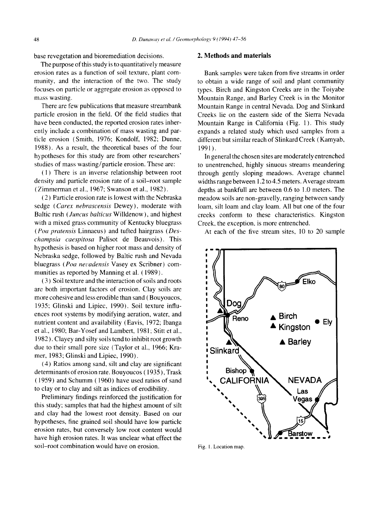base revegetation and bioremediation decisions.

The purpose of this study is to quantitatively measure erosion rates as a function of soil texture, plant community, and the interaction of the two. The study focuses on particle or aggregate erosion as opposed to mass wasting.

There are few publications that measure streambank particle erosion in the field. Of the field studies that have been conducted, the reported erosion rates inherently include a combination of mass wasting and particle erosion (Smith, 1976; Kondolf, 1982; Dunne, 1988). As a result, the theoretical bases of the four hypotheses for this study are from other researchers' studies of mass wasting/particle erosion. These are:

( 1 ) There is an inverse relationship between root density and particle erosion rate of a soil-root sample (Zimmerman et al., 1967; Swanson et al., 1982).

(2) Particle erosion rate is lowest with the Nebraska sedge *(Carex nebrascensis* Dewey), moderate with Baltic rush *(Juncus balticus* Willdenow), and highest with a mixed grass community of Kentucky bluegrass *(Poa pratensis* Linnaeus) and tufted hairgrass (Des*champsia caespitosa* Palisot de Beauvois). This hypothesis is based on higher root mass and density of Nebraska sedge, followed by Baltic rush and Nevada bluegrass *(Poa neuadensis* Vasey ex Scribner) communities as reported by Manning et al. (1989).

(3) Soil texture and the interaction of soils and roots are both important factors of erosion. Clay soils are more cohesive and less erodible than sand (Bouyoucos, 1935; Glinski and Lipiec, 1990). Soil texture influences root systems by modifying aeration, water, and nutrient content and availability (Eavis, 1972; Ibanga et al., 1980; Bar-Yosef and Lambert, 1981; Stitt et al., 1982 ). Clayey and silty soils tend to inhibit root growth due to their small pore size (Taylor et al., 1966; Kramer, 1983; Glinski and Lipiec, 1990).

(4) Ratios among sand, silt and clay are significant determinants of erosion rate. Bouyoucos (1935), Trask (1959) and Schumm (1960) have used ratios of sand to clay or to clay and silt as indices of erodibility.

Preliminary findings reinforced the justification for this study; samples that had the highest amount of silt and clay had the lowest root density. Based on our hypotheses, fine grained soil should have low particle erosion rates, but conversely low root content would have high erosion rates. It was unclear what effect the soil-root combination would have on erosion.

#### **2. Methods and materials**

Bank samples were taken from five streams in order to obtain a wide range of soil and plant community types. Birch and Kingston Creeks are in the Toiyabe Mountain Range, and Barley Creek is in the Monitor Mountain Range in central Nevada. Dog and Slinkard Creeks lie on the eastern side of the Sierra Nevada Mountain Range in California (Fig. 1). This study expands a related study which used samples from a different but similar reach of Slinkard Creek ( Kamyab, 1991 ).

In general the chosen sites are moderately entrenched to unentrenched, highly sinuous streams meandering through gently sloping meadows. Average channel widths range between 1.2 to 4.5 meters. Average stream depths at bankfull are between 0.6 to 1.0 meters. The meadow soils are non-gravelly, ranging between sandy loam, silt loam and clay loam. All but one of the four creeks conform to these characteristics. Kingston Creek, the exception, is more entrenched.

At each of the five stream sites, 10 to 20 sample



Fig. 1. Location map.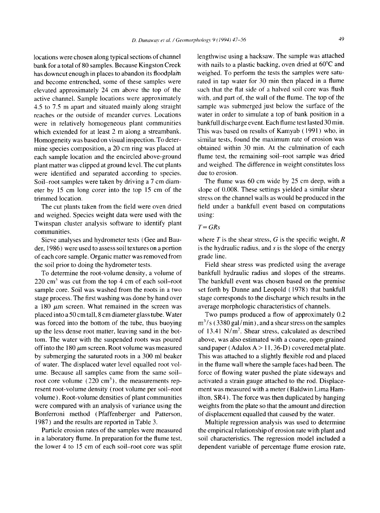locations were chosen along typical sections of channel bank for a total of 80 samples. Because Kingston Creek has downcut enough in places to abandon its floodplain and become entrenched, some of these samples were elevated approximately 24 cm above the top of the active channel. Sample locations were approximately 4.5 to 7.5 m apart and situated mainly along straight reaches or the outside of meander curves. Locations were in relatively homogeneous plant communities which extended for at least 2 m along a streambank. Homogeneity was based on visual inspection. To determine species composition, a 20 cm ring was placed at each sample location and the encircled above-ground plant matter was clipped at ground level. The cut plants were identified and separated according to species. Soil-root samples were taken by driving a 7 cm diameter by 15 cm long corer into the top 15 cm of the trimmed location.

The cut plants taken from the field were oven dried and weighed. Species weight data were used with the Twinspan cluster analysis software to identify plant communities.

Sieve analyses and hydrometer tests (Gee and Bauder, 1986) were used to assess soil textures on a portion of each core sample. Organic matter was removed from the soil prior to doing the hydrometer tests.

To determine the root-volume density, a volume of  $220 \text{ cm}^3$  was cut from the top 4 cm of each soil-root sample core. Soil was washed from the roots in a two stage process. The first washing was done by hand over a 180  $\mu$ m screen. What remained in the screen was placed into a 50 cm tall, 8 cm diameter glass tube. Water was forced into the bottom of the tube, thus buoying up the less dense root matter, leaving sand in the bottom. The water with the suspended roots was poured off into the 180  $\mu$ m screen. Root volume was measured by submerging the saturated roots in a 300 ml beaker of water. The displaced water level equalled root volume. Because all samples came from the same soilroot core volume  $(220 \text{ cm}^3)$ , the measurements represent root-volume density (root volume per soil-root volume). Root-volume densities of plant communities were compared with an analysis of variance using the Bonferroni method (Pfaffenberger and Patterson, 1987) and the results are reported in Table 3.

Particle erosion rates of the samples were measured in a laboratory flume. In preparation for the flume test, the lower 4 to 15 cm of each soil-root core was split lengthwise using a hacksaw. The sample was attached with nails to a plastic backing, oven dried at 60°C and weighed. To perform the tests the samples were saturated in tap water for 30 min then placed in a flume such that the flat side of a halved soil core was flush with, and part of, the wall of the flume. The top of the sample was submerged just below the surface of the water in order to simulate a top of bank position in a bankfull discharge event. Each flume test lasted 30 min. This was based on results of Kamyab ( 1991 ) who, in similar tests, found the maximum rate of erosion was obtained within 30 min. At the culmination of each flume test, the remaining soil-root sample was dried and weighed. The difference in weight constitutes loss due to erosion.

The flume was 60 cm wide by 25 cm deep, with a slope of 0.008. These settings yielded a similar shear stress on the channel walls as would be produced in the field under a bankfull event based on computations using:

# $T = GRs$

where  $T$  is the shear stress,  $G$  is the specific weight,  $R$ is the hydraulic radius, and  $s$  is the slope of the energy grade line.

Field shear stress was predicted using the average bankfull hydraulic radius and slopes of the streams. The bankfull event was chosen based on the premise set forth by Dunne and Leopold (1978) that bankfull stage corresponds to the discharge which results in the average morphologic characteristics of channels.

Two pumps produced a flow of approximately 0.2  $m<sup>3</sup>/s$  (3380 gal/min), and a shear stress on the samples of  $13.41$   $N/m<sup>2</sup>$ . Shear stress, calculated as described above, was also estimated with a coarse, open-grained sand paper (Adalox  $A > 11, 36-D$ ) covered metal plate. This was attached to a slightly flexible rod and placed in the flume wall where the sample faces had been. The force of flowing water pushed the plate sideways and activated a strain gauge attached to the rod. Displacement was measured with a meter ( Baldwin Lima Hamilton, SR4). The force was then duplicated by hanging weights from the plate so that the amount and direction of displacement equalled that caused by the water.

Multiple regression analysis was used to determine the empirical relationship of erosion rate with plant and soil characteristics. The regression model included a dependent variable of percentage flume erosion rate,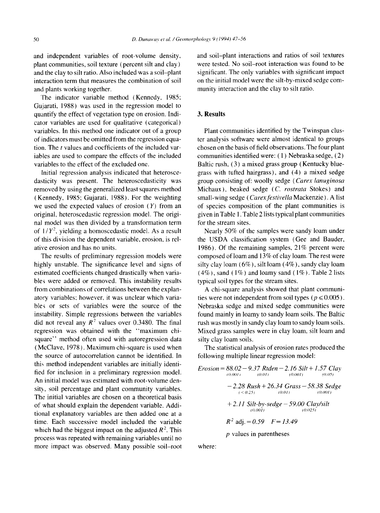and independent variables of root-volume density, plant communities, soil texture (percent silt and clay) and the clay to silt ratio. Also included was a soil-plant interaction term that measures the combination of soil and plants working together.

The indicator variable method (Kennedy, 1985; Gujarati, 1988) was used in the regression model to quantify the effect of vegetation type on erosion. Indicalor variables are used for qualitative (categorical) variables. In this method one indicator out of a group of indicators must be omitted from the regression equation. The t values and coefficients of the included variables are used to compare the effects of the included variables to the effect of the excluded one.

Initial regression analysis indicated that heteroscedasticity was present. The heteroscedasticity was removed by using the generalized least squares method (Kennedy, 1985; Gujarati, 1988). For the weighting we used the expected values of erosion  $(Y)$  from an original, heteroscedastic regression model. The original model was then divided by a transformation term of  $1/Y^2$ , yielding a homoscedastic model. As a result of this division the dependent variable, erosion, is relative erosion and has no units.

The results of preliminary regression models were highly unstable. The significance level and signs of estimated coefficients changed drastically when variables were added or removed. This instability results from combinations of correlations between the explanatory variables; however, it was unclear which variables or sets of variables were the source of the instability. Simple regressions between the variables did not reveal any  $R^2$  values over 0.3480. The final regression was obtained with the "maximum chisquare" method often used with autoregression data (McClave, 1978 ). Maximum chi-square is used when the source of autocorrelation cannot be identified. In this method independent variables are initially identified for inclusion in a preliminary regression model. An initial model was estimated with root-volume density, soil percentage and plant community variables. The initial variables are chosen on a theoretical basis of what should explain the dependent variable. Additional explanatory variables are then added one at a time. Each successive model included the variable which had the biggest impact on the adjusted  $R^2$ . This process was repeated with remaining variables until no more impact was observed. Many possible soil-root and soil-plant interactions and ratios of soil textures were tested. No soil-root interaction was found to be significant. The only variables with significant impact on the initial model were the silt-by-mixed sedge community interaction and the clay to silt ratio.

# **3. Results**

Plant communities identified by the Twinspan cluster analysis software were almost identical to groups chosen on the basis of field observations, The four plant communities identified were: ( 1 ) Nebraska sedge, (2) Baltic rush, (3) a mixed grass group (Kentucky bluegrass with tufted hairgrass), and (4) a mixed sedge group consisting of: woolly sedge (Carex *lanuginosa*  Michaux), beaked sedge *(C. rostrata* Stokes) and small-wing sedge (Carex festivella Mackenzie). A list of species composition of the plant communities is given in Table 1. Table 2 lists typical plant communities for the stream sites.

Nearly 50% of the samples were sandy loam under the USDA classification system (Gee and Bauder, 1986). Of the remaining samples, 21% percent were composed of loam and 13% of clay loam. The rest were silty clay loam (6%), silt loam (4%), sandy clay loam  $(4\%)$ , sand  $(1\%)$  and loamy sand  $(1\%)$ . Table 2 lists typical soil types for the stream sites.

A chi-square analysis showed that plant communities were not independent from soil types ( $p \le 0.005$ ). Nebraska sedge and mixed sedge communities were found mainly in loamy to sandy loam soils. The Baltic rush was mostly in sandy clay loam to sandy loam soils. Mixed grass samples were in clay loam, silt loam and silty clay loam soils.

The statistical analysis of erosion rates produced the following multiple linear regression model:

Erosion = 88.02-9.37 Rtden - 2.16 Silt + 1.57 Clay  
\n
$$
= 2.28 \text{ Rush} + 26.34 \text{ Grass} - 58.38 \text{ Sedge}
$$
\n
$$
= 2.28 \text{ Rush} + 26.34 \text{ Grass} - 58.38 \text{ Sedge}
$$
\n
$$
= 2.11 \text{ Silt-by-seage} - 59.00 \text{ Clay/silt}
$$
\n(0.001)  
\n
$$
= 2.11 \text{ Silt-by-seage} - 59.00 \text{ Clay/silt}
$$
\n(0.0025)  
\n
$$
= 2.11 \text{ Silt-by-seage} - 59.00 \text{ Clay/silt}
$$
\n(0.025)  
\n
$$
= 2.11 \text{ Silt-by-seage} - 59.00 \text{ Clay/silt}
$$
\n(0.025)  
\n
$$
= 2.11 \text{ Silt-by-seage} - 59.00 \text{ Clay/silt}
$$
\n(0.025)  
\n
$$
= 2.11 \text{ Silt-by-seage} - 59.00 \text{ Clay/silt}
$$
\n(0.025)  
\n
$$
= 2.11 \text{ Silt-by-seage} - 59.00 \text{ Clay/silt}
$$
\n(0.025)  
\n
$$
= 2.11 \text{ Silt-by-seage} - 59.00 \text{ Clay/silt}
$$

where: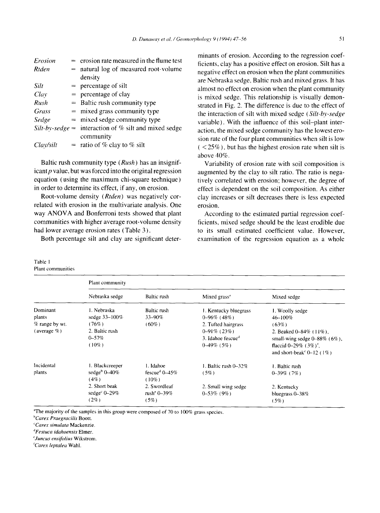| Erosion   | $=$ erosion rate measured in the flume test           |  |
|-----------|-------------------------------------------------------|--|
| Rtden     | = natural log of measured root-volume                 |  |
|           | density                                               |  |
| Silt      | $=$ percentage of silt                                |  |
| Clay      | $=$ percentage of clay                                |  |
| Rush      | $=$ Baltic rush community type                        |  |
| Grass     | $=$ mixed grass community type                        |  |
| Sedge     | $=$ mixed sedge community type                        |  |
|           | Silt-by-sedge = interaction of % silt and mixed sedge |  |
|           | community                                             |  |
| Clay/silt | $=$ ratio of % clay to % silt                         |  |

Baltic rush community type *(Rush)* has an insignificant  $p$  value, but was forced into the original regression equation (using the maximum chi-square technique) in order to determine its effect, if any, on erosion.

Root-volume density *(Rtden)* was negatively correlated with erosion in the multivariate analysis. One way ANOVA and Bonferroni tests showed that plant communities with higher average root-volume density had lower average erosion rates (Table 3).

Both percentage silt and clay are significant deter-

Table 1 Plant communities minants of erosion. According to the regression coefficients, clay has a positive effect on erosion. Silt has a negative effect on erosion when the plant communities are Nebraska sedge, Baltic rush and mixed grass. It has almost no effect on erosion when the plant community is mixed sedge. This relationship is visually demonstrated in Fig. 2. The difference is due to the effect of the interaction of silt with mixed sedge (Silt-by-sedge variable). With the influence of this soil-plant interaction, the mixed sedge community has the lowest erosion rate of the four plant communities when silt is low  $(< 25\%)$ , but has the highest erosion rate when silt is above 40%,

Variability of erosion rate with soil composition is augmented by the clay to silt ratio. The ratio is negatively correlated with erosion; however, the degree of effect is dependent on the soil composition. As either clay increases or silt decreases there is less expected erosion.

According to the estimated partial regression coefficients, mixed sedge should be the least erodible due to its small estimated coefficient value. However, examination of the regression equation as a whole

|                                                          | Plant community                                                                                               |                                                                                                            |                                                                                                                                        |                                                                                                                                                                                                 |  |  |
|----------------------------------------------------------|---------------------------------------------------------------------------------------------------------------|------------------------------------------------------------------------------------------------------------|----------------------------------------------------------------------------------------------------------------------------------------|-------------------------------------------------------------------------------------------------------------------------------------------------------------------------------------------------|--|--|
|                                                          | Nebraska sedge                                                                                                | Baltic rush                                                                                                | Mixed grass <sup>a</sup>                                                                                                               | Mixed sedge                                                                                                                                                                                     |  |  |
| Dominant<br>plants<br>$%$ range by wt.<br>(average $%$ ) | 1. Nebraska<br>sedge 33-100%<br>(76%)<br>2. Baltic rush<br>$0 - 57\%$<br>$(10\%)$                             | Baltic rush<br>$33 - 90\%$<br>$(60\%)$                                                                     | 1. Kentucky bluegrass<br>$0-96\%$ (48%)<br>2. Tufted hairgrass<br>$0 - 91\%$ (23\%)<br>3. Idahoe fescue <sup>d</sup><br>$0-49\%$ (5\%) | 1. Woolly sedge<br>$46 - 100\%$<br>(63%)<br>2. Beaked $0-84\%$ (11%).<br>small-wing sedge $0-88\%$ (6%),<br>flaccid $0 - 29\%$ (3\%) <sup>t</sup> .<br>and short-beak <sup>c</sup> $0$ –12 (1%) |  |  |
| Incidental<br>plants                                     | 1. Blackcreeper<br>sedge <sup>b</sup> 0-40%<br>(4%)<br>2. Short beak<br>sedge <sup>c</sup> $0-29%$<br>$(2\%)$ | 1. Idahoe<br>fescue <sup>d</sup> $0-45%$<br>$(10\%)$<br>2. Swordleaf<br>rush <sup>e</sup> 0–39%<br>$(5\%)$ | 1. Baltic rush $0-32\%$<br>(5%)<br>2. Small wing sedge<br>$0-53\%$ (9%)                                                                | 1. Baltic rush<br>$0 - 39\%$ (7\%)<br>2. Kentucky<br>bluegrass $0 - 38\%$<br>(5%)                                                                                                               |  |  |

<sup>a</sup>The majority of the samples in this group were composed of 70 to 100% grass species.

*hCarex Praegracilis* Boott.

*"Carex simulata* Mackenzie.

*°Festuca idahoensis* Elmer.

*~Juncus ensifolius* Wikstrom.

*JCarex leptalea* Wahl.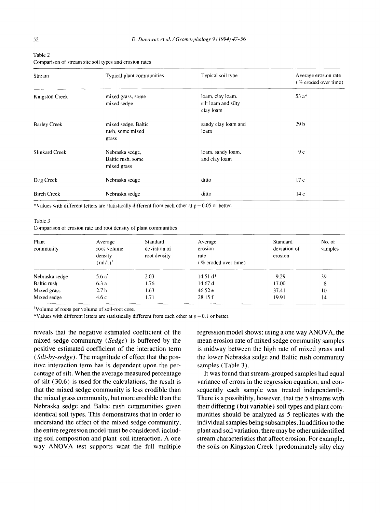| Stream                | Typical plant communities                           | Typical soil type                                    | Average erosion rate<br>(% eroded over time)<br>$53a*$ |  |
|-----------------------|-----------------------------------------------------|------------------------------------------------------|--------------------------------------------------------|--|
| <b>Kingston Creek</b> | mixed grass, some<br>mixed sedge                    | loam, clay loam,<br>silt loam and silty<br>clay loam |                                                        |  |
| <b>Barley Creek</b>   | mixed sedge, Baltic<br>rush, some mixed<br>grass    | sandy clay loam and<br>loam                          | 29 <sub>b</sub>                                        |  |
| <b>Slinkard Creek</b> | Nebraska sedge,<br>Baltic rush, some<br>mixed grass | loam, sandy loam,<br>and clay loam                   | 9c                                                     |  |
| Dog Creek             | Nebraska sedge                                      | ditto                                                | 17c                                                    |  |
| <b>Birch Creek</b>    | Nebraska sedge                                      | ditto                                                | 14c                                                    |  |

| Table 2                                                |
|--------------------------------------------------------|
| Comparison of stream site soil types and erosion rates |

\*Values with different letters are statistically different from each other at  $p = 0.05$  or better.

#### Table 3

Comparison of erosion rate and root density of plant communities

| Plant<br>community | Average<br>root-volume<br>density<br>$(m!/1)^{+}$ | Standard<br>deviation of<br>root density | Average<br>erosion<br>rate<br>(% eroded over time) | Standard<br>deviation of<br>erosion | No. of<br>samples |
|--------------------|---------------------------------------------------|------------------------------------------|----------------------------------------------------|-------------------------------------|-------------------|
| Nebraska sedge     | $5.6a^*$                                          | 2.03                                     | $14.51 d*$                                         | 9.29                                | 39                |
| Baltic rush        | 6.3a                                              | 1.76                                     | 14.67 d                                            | 17.00                               | 8                 |
| Mixed grass        | 2.7 <sub>b</sub>                                  | 1.63                                     | 46.52 e                                            | 37.41                               | 10                |
| Mixed sedge        | 4.6c                                              | 1.71                                     | 28.15 f                                            | 19.91                               | 14                |

JVolume of roots per volume of soil-root core.

\*Values with different letters are statistically different from each other at  $p = 0.1$  or better.

reveals that the negative estimated coefficient of the mixed sedge community *(Sedge)* is buffered by the positive estimated coefficient of the interaction term *(Silt-by-sedge).* The magnitude of effect that the positive interaction term has is dependent upon the percentage of silt. When the average measured percentage of silt (30.6) is used for the calculations, the result is that the mixed sedge community is less erodible than the mixed grass community, but more erodible than the Nebraska sedge and Baltic rush communities given identical soil types. This demonstrates that in order to understand the effect of the mixed sedge community, the entire regression model must be considered, including soil composition and plant-soil interaction. A one way ANOVA test supports what the full multiple regression model shows; using a one way ANOVA, the mean erosion rate of mixed sedge community samples is midway between the high rate of mixed grass and the lower Nebraska sedge and Baltic rush community samples (Table 3).

It was found that stream-grouped samples had equal variance of errors in the regression equation, and consequently each sample was treated independently. There is a possibility, however, that the 5 streams with their differing (but variable) soil types and plant communities should be analyzed as 5 replicates with the individual samples being subsamples. In addition to the plant and soil variation, there may be other unidentified stream characteristics that affect erosion. For example, the soils on Kingston Creek (predominately silty clay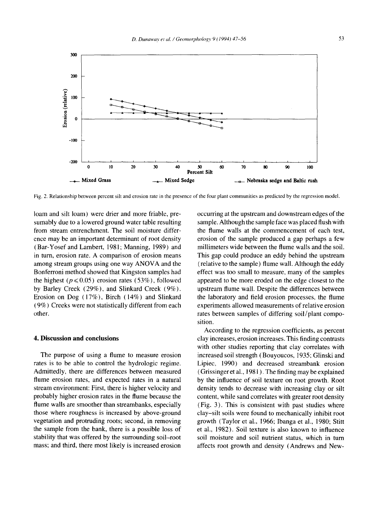

Fig. 2. Relationship between percent silt and erosion rate in the presence of the four plant communities as predicted by the regression model.

loam and silt loam) were drier and more friable, presumably due to a lowered ground water table resulting from stream entrenchment. The soil moisture difference may be an important determinant of root density (Bar-Yosef and Lambert, 1981; Manning, 1989) and in turn, erosion rate. A comparison of erosion means among stream groups using one way ANOVA and the Bonferroni method showed that Kingston samples had the highest ( $p \le 0.05$ ) erosion rates (53%), followed by Barley Creek (29%), and Slinkard Creek (9%). Erosion on Dog (17%), Birch (14%) and Slinkard ( 9% ) Creeks were not statistically different from each other.

#### **4. Discussion and conclusions**

The purpose of using a flume to measure erosion rates is to be able to control the hydrologic regime. Admittedly, there are differences between measured flume erosion rates, and expected rates in a natural stream environment: First, there is higher velocity and probably higher erosion rates in the flume because the flume walls are smoother than streambanks, especially those where roughness is increased by above-ground vegetation and protruding roots; second, in removing the sample from the bank, there is a possible loss of stability that was offered by the surrounding soil-root mass; and third, there most likely is increased erosion

occurring at the upstream and downstream edges of the sample. Although the sample face was placed flush with the flume walls at the commencement of each test, erosion of the sample produced a gap perhaps a few millimeters wide between the flume walls and the soil. This gap could produce an eddy behind the upstream (relative to the sample) flume wall. Although the eddy effect was too small to measure, many of the samples appeared to be more eroded on the edge closest to the upstream flume wall. Despite the differences between the laboratory and field erosion processes, the flume experiments allowed measurements of relative erosion rates between samples of differing soil/plant composition.

According to the regression coefficients, as percent clay increases, erosion increases. This finding contrasts with other studies reporting that clay correlates with increased soil strength (Bouyoucos, 1935; Glinski and Lipiec, 1990) and decreased streambank erosion (Grissinger et al., 1981 ). The finding may be explained by the influence of soil texture on root growth. Root density tends to decrease with increasing clay or silt content, while sand correlates with greater root density (Fig. 3). This is consistent with past studies where clay-silt soils were found to mechanically inhibit root growth (Taylor et al., 1966; Ibanga et al., 1980; Stitt et al., 1982). Soil texture is also known to influence soil moisture and soil nutrient status, which in turn affects root growth and density (Andrews and New-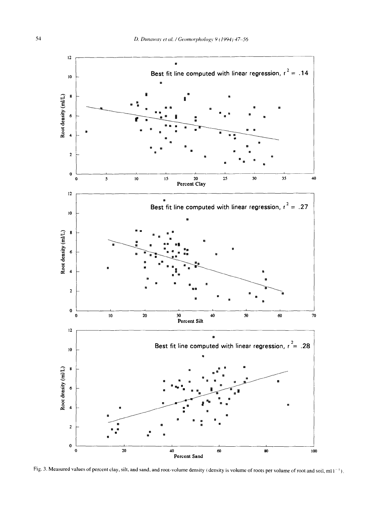

Fig. 3. Measured values of percent clay, silt, and sand, and root-volume density (density is volume of roots per volume of root and soil, ml 1<sup>-1</sup>).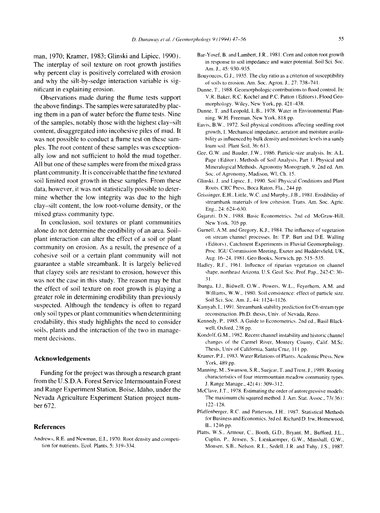**man, 1970; Kramer, 1983; Glinski and Lipiec, 1990). The interplay of soil texture on root growth justifies why percent clay is positively correlated with erosion and why the silt-by-sedge interaction variable is significant in explaining erosion.** 

**Observations made during the flume tests support the above findings. The samples were saturated by placing them in a pan of water before the flume tests. Nine of the samples, notably those with the highest clay-silt content, disaggregated into incohesive piles of mud. It was not possible to conduct a flume test on these samples. The root content of these samples was exceptionally low and not sufficient to hold the mud together. All but one of these samples were from the mixed grass plant community. It is conceivable that the fine textured soil limited root growth in these samples. From these data, however, it was not statistically possible to determine whether the low integrity was due to the high clay-silt content, the low root-volume density, or the mixed grass community type.** 

**In conclusion, soil textures or plant communities alone do not determine the erodibility of an area. Soilplant interaction can alter the effect of a soil or plant community on erosion. As a result, the presence of a cohesive soil or a certain plant community will not guarantee a stable streambank. It is largely believed that clayey soils are resistant to erosion, however this was not the case in this study. The reason may be that the effect of soil texture on root growth is playing a greater role in determining erodibility than previously suspected. Although the tendency is often to regard only soil types or plant communities when determining erodability, this study highlights the need to consider soils, plants and the interaction of the two in management decisions.** 

## **Acknowledgements**

**Funding for the project was through a research grant from the U.S.D.A. Forest Service Intermountain Forest and Range Experiment Station, Boise, Idaho, under the**  Nevada Agriculture Experiment Station project **number** 672.

#### **References**

Andrews. R.E. and Newman, E.I., 1970. Root density and competition for nutrients. Ecol. Plants, 5: 319-334.

- Bar-Yosef, B. and Lambert, J.R., 1981. Corn and cotton root **growth**  in response to soil impedance and water potential. Soil Sci. Soc. Am. J., 45: 930-935.
- Bouyoucos, G.J., 1935. The clay ratio as a criterion of susceptibility of soils to erosion. Am. Soc. Agron. J., 27: 738-741.
- Dunne, T., 1988. Geomorphologic contributions to flood control. In: V.R. Baker, R.C. Kochel and P.C. Patton (Editors), Flood Geomorphology. Wiley. New York, pp. 421-438.
- Dunne, T. and Leopold. *LB.,* 1978. Water in Environmental Planning. W.H. Freeman, New York, 818 pp.
- Eavis, B.W., 1972. Soil physical conditions affecting seedling root **growth,** 1. Mechanical impedance, aeration and moisture availability as influenced by bulk density and moisture levels in a sandy loam soil. Plant Soil, 36: 613.
- Gee, G.W. and Bauder, J.W., 1986. Particle-size analysis. In: A.L. Page (Editor), Methods of Soil Analysis, Part 1. Physical and Mineralogical Methods. Agronomy Monograph, 9.2nd ed. Am. Soc. of Agronomy, Madison, WI, Ch. 15.
- Glinski, J. and Lipiec, J., 1990. Soil Physical Conditions and Plant Roots. CRC Press, Boca Raton, Fla., 244 pp.
- Grissinger, E.H., Little, W.C. and Murphy, J.B., 1981. Erodibility of streambank materials of low cohesion. Trans. Am. Soc. Agric. Eng., 24: 624-630.
- Gujarati, D.N., 1988. Basic Econometrics. 2nd ed. McGraw-Hill, **New** York, 705 pp.
- Gurnell, A.M. and Gregory, K.J., 1984. The influence of vegetation on stream channel processes. In: T,P. Butt and DE. Walling ( Editors ), Catchment Experiments in Fluvial Geomorphology. Proc. IGU Commission Meeting, Exeter and Huddersfield, UK, Aug. 16-24, 1981. Geo Books, Norwich, pp. 515-535.
- Hadley, R.F., 1961. Influence of riparian vegetation on channel shape, northeast Arizona. U.S. Geol. Soc. Prof. Pap., 242-C: 30- 31.
- Ibanga, l.J., Bidwell, O.W., Powers, *W.L.,* Feyerhern, A.M. and Williams, W.W., 1980. Soil consistence: effect of particle size. Soil Sci. Soc. Am. J.. 44:1124-1126.
- Kamyab, I., 1991. Streambank stability prediction forC6 stream type reconstruction. Ph.D. thesis, Univ. of Nevada, Reno.
- Kennedy, P., 1985. A Guide to Econometrics. 2nd ed., Basil Blackwell, Oxford, 238 pp.
- Kondolf, G.M., 1982. Recent channel instability and historic channel **changes of the** Carmel River, Montery County, Calif, M.Sc. **Thesis,** Univ of California, Santa Cruz, 11 I pp.
- Kramer, P.J., 1983. Water Relations of Plants. Academic Press. **New**  York, 489 pp.
- Manning, M., Swanson, S.R., Suejcar, T. and Trent, J., 1989. Rooting characteristics of four intermountain meadow community types. J, Range Manage., 42(4): 309-312.
- McClave, J.T., 1978. Estimating the order of autoregressive models: **The** maximum chi squared method. J. Am. Stat. Assoc., 73 ( 36 ) : 122-128.
- Pfaffenberger, R.C. and Patterson, J.H., 1987. Statistical **Methods**  for Business and Economics. 3rd ed. Richard D. lrw, Homewood, IL, 1246 pp.
- Platts, W.S., Armour, C., Booth, G.D., Bryant, M., Bufford, J.L., Cuplin, P., Jensen, S., Lienkaemper, G.W., Minshall, G.W., Monsen, S.B., Nelson, R.L., Sedell, J.R. and Tuhy, J.S., 1987.